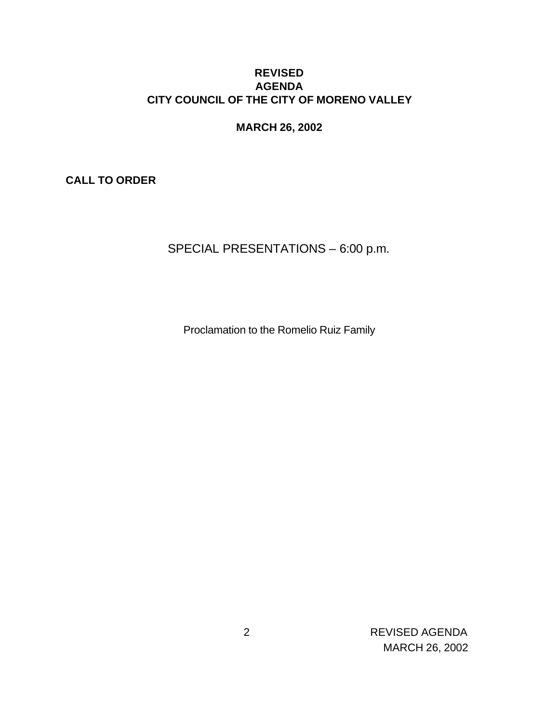### **REVISED AGENDA CITY COUNCIL OF THE CITY OF MORENO VALLEY**

**MARCH 26, 2002**

**CALL TO ORDER**

SPECIAL PRESENTATIONS – 6:00 p.m.

Proclamation to the Romelio Ruiz Family

 2 REVISED AGENDA MARCH 26, 2002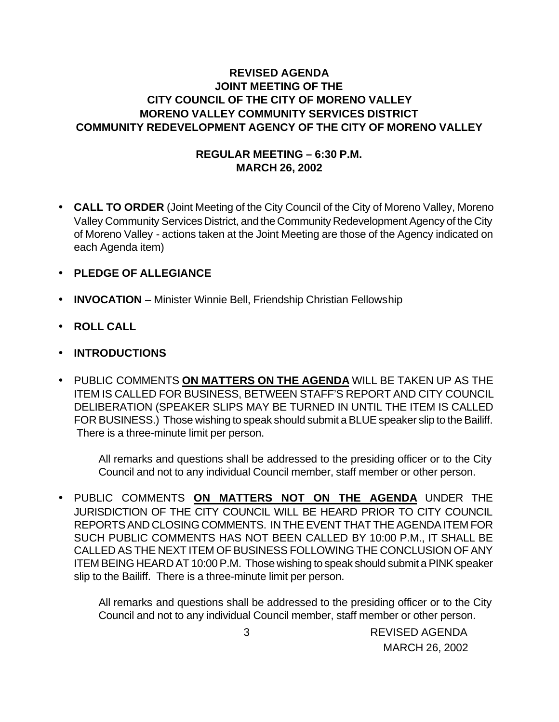## **REVISED AGENDA JOINT MEETING OF THE CITY COUNCIL OF THE CITY OF MORENO VALLEY MORENO VALLEY COMMUNITY SERVICES DISTRICT COMMUNITY REDEVELOPMENT AGENCY OF THE CITY OF MORENO VALLEY**

### **REGULAR MEETING – 6:30 P.M. MARCH 26, 2002**

- **CALL TO ORDER** (Joint Meeting of the City Council of the City of Moreno Valley, Moreno Valley Community Services District, and the Community Redevelopment Agency of the City of Moreno Valley - actions taken at the Joint Meeting are those of the Agency indicated on each Agenda item)
- **PLEDGE OF ALLEGIANCE**
- **INVOCATION** Minister Winnie Bell, Friendship Christian Fellowship
- **ROLL CALL**
- **INTRODUCTIONS**
- PUBLIC COMMENTS **ON MATTERS ON THE AGENDA** WILL BE TAKEN UP AS THE ITEM IS CALLED FOR BUSINESS, BETWEEN STAFF'S REPORT AND CITY COUNCIL DELIBERATION (SPEAKER SLIPS MAY BE TURNED IN UNTIL THE ITEM IS CALLED FOR BUSINESS.) Those wishing to speak should submit a BLUE speaker slip to the Bailiff. There is a three-minute limit per person.

All remarks and questions shall be addressed to the presiding officer or to the City Council and not to any individual Council member, staff member or other person.

• PUBLIC COMMENTS **ON MATTERS NOT ON THE AGENDA** UNDER THE JURISDICTION OF THE CITY COUNCIL WILL BE HEARD PRIOR TO CITY COUNCIL REPORTS AND CLOSING COMMENTS. IN THE EVENT THAT THE AGENDA ITEM FOR SUCH PUBLIC COMMENTS HAS NOT BEEN CALLED BY 10:00 P.M., IT SHALL BE CALLED AS THE NEXT ITEM OF BUSINESS FOLLOWING THE CONCLUSION OF ANY ITEM BEING HEARD AT 10:00 P.M. Those wishing to speak should submit a PINK speaker slip to the Bailiff. There is a three-minute limit per person.

All remarks and questions shall be addressed to the presiding officer or to the City Council and not to any individual Council member, staff member or other person.

> 3 REVISED AGENDA MARCH 26, 2002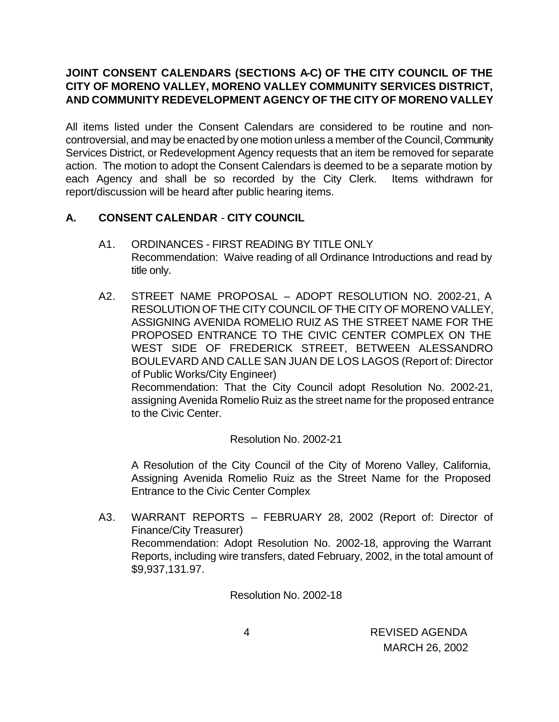# **JOINT CONSENT CALENDARS (SECTIONS A-C) OF THE CITY COUNCIL OF THE CITY OF MORENO VALLEY, MORENO VALLEY COMMUNITY SERVICES DISTRICT, AND COMMUNITY REDEVELOPMENT AGENCY OF THE CITY OF MORENO VALLEY**

All items listed under the Consent Calendars are considered to be routine and noncontroversial, and may be enacted by one motion unless a member of the Council, Community Services District, or Redevelopment Agency requests that an item be removed for separate action. The motion to adopt the Consent Calendars is deemed to be a separate motion by each Agency and shall be so recorded by the City Clerk. Items withdrawn for report/discussion will be heard after public hearing items.

# **A. CONSENT CALENDAR** - **CITY COUNCIL**

- A1. ORDINANCES FIRST READING BY TITLE ONLY Recommendation: Waive reading of all Ordinance Introductions and read by title only.
- A2. STREET NAME PROPOSAL ADOPT RESOLUTION NO. 2002-21, A RESOLUTION OF THE CITY COUNCIL OF THE CITY OF MORENO VALLEY, ASSIGNING AVENIDA ROMELIO RUIZ AS THE STREET NAME FOR THE PROPOSED ENTRANCE TO THE CIVIC CENTER COMPLEX ON THE WEST SIDE OF FREDERICK STREET, BETWEEN ALESSANDRO BOULEVARD AND CALLE SAN JUAN DE LOS LAGOS (Report of: Director of Public Works/City Engineer)

Recommendation: That the City Council adopt Resolution No. 2002-21, assigning Avenida Romelio Ruiz as the street name for the proposed entrance to the Civic Center.

### Resolution No. 2002-21

A Resolution of the City Council of the City of Moreno Valley, California, Assigning Avenida Romelio Ruiz as the Street Name for the Proposed Entrance to the Civic Center Complex

A3. WARRANT REPORTS – FEBRUARY 28, 2002 (Report of: Director of Finance/City Treasurer) Recommendation: Adopt Resolution No. 2002-18, approving the Warrant Reports, including wire transfers, dated February, 2002, in the total amount of \$9,937,131.97.

Resolution No. 2002-18

 4 REVISED AGENDA MARCH 26, 2002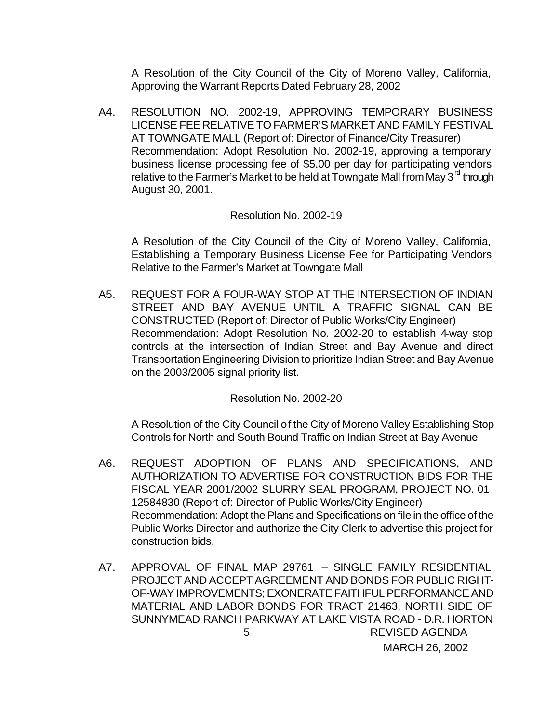A Resolution of the City Council of the City of Moreno Valley, California, Approving the Warrant Reports Dated February 28, 2002

A4. RESOLUTION NO. 2002-19, APPROVING TEMPORARY BUSINESS LICENSE FEE RELATIVE TO FARMER'S MARKET AND FAMILY FESTIVAL AT TOWNGATE MALL (Report of: Director of Finance/City Treasurer) Recommendation: Adopt Resolution No. 2002-19, approving a temporary business license processing fee of \$5.00 per day for participating vendors relative to the Farmer's Market to be held at Towngate Mall from May 3 $^{\text{rd}}$  through August 30, 2001.

#### Resolution No. 2002-19

A Resolution of the City Council of the City of Moreno Valley, California, Establishing a Temporary Business License Fee for Participating Vendors Relative to the Farmer's Market at Towngate Mall

A5. REQUEST FOR A FOUR-WAY STOP AT THE INTERSECTION OF INDIAN STREET AND BAY AVENUE UNTIL A TRAFFIC SIGNAL CAN BE CONSTRUCTED (Report of: Director of Public Works/City Engineer) Recommendation: Adopt Resolution No. 2002-20 to establish 4-way stop controls at the intersection of Indian Street and Bay Avenue and direct Transportation Engineering Division to prioritize Indian Street and Bay Avenue on the 2003/2005 signal priority list.

Resolution No. 2002-20

A Resolution of the City Council of the City of Moreno Valley Establishing Stop Controls for North and South Bound Traffic on Indian Street at Bay Avenue

- A6. REQUEST ADOPTION OF PLANS AND SPECIFICATIONS, AND AUTHORIZATION TO ADVERTISE FOR CONSTRUCTION BIDS FOR THE FISCAL YEAR 2001/2002 SLURRY SEAL PROGRAM, PROJECT NO. 01- 12584830 (Report of: Director of Public Works/City Engineer) Recommendation: Adopt the Plans and Specifications on file in the office of the Public Works Director and authorize the City Clerk to advertise this project for construction bids.
- 5 REVISED AGENDA MARCH 26, 2002 A7. APPROVAL OF FINAL MAP 29761 – SINGLE FAMILY RESIDENTIAL PROJECT AND ACCEPT AGREEMENT AND BONDS FOR PUBLIC RIGHT-OF-WAY IMPROVEMENTS; EXONERATE FAITHFUL PERFORMANCE AND MATERIAL AND LABOR BONDS FOR TRACT 21463, NORTH SIDE OF SUNNYMEAD RANCH PARKWAY AT LAKE VISTA ROAD - D.R. HORTON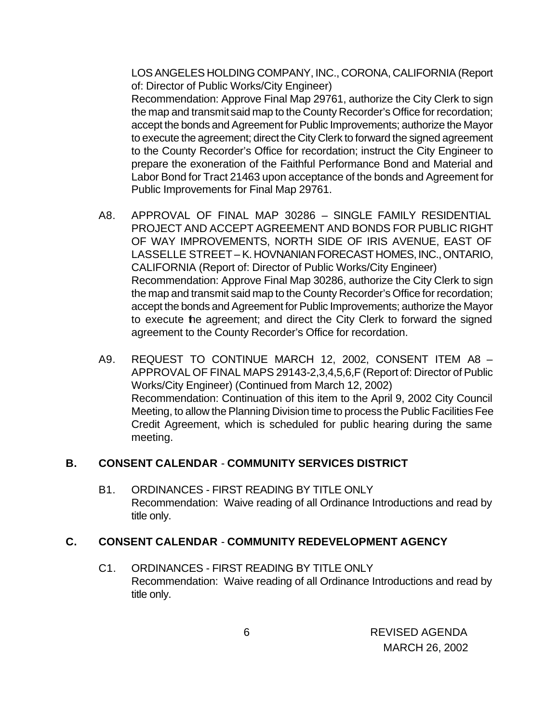LOS ANGELES HOLDING COMPANY, INC., CORONA, CALIFORNIA (Report of: Director of Public Works/City Engineer) Recommendation: Approve Final Map 29761, authorize the City Clerk to sign the map and transmit said map to the County Recorder's Office for recordation; accept the bonds and Agreement for Public Improvements; authorize the Mayor to execute the agreement; direct the City Clerk to forward the signed agreement to the County Recorder's Office for recordation; instruct the City Engineer to prepare the exoneration of the Faithful Performance Bond and Material and Labor Bond for Tract 21463 upon acceptance of the bonds and Agreement for Public Improvements for Final Map 29761.

- A8. APPROVAL OF FINAL MAP 30286 SINGLE FAMILY RESIDENTIAL PROJECT AND ACCEPT AGREEMENT AND BONDS FOR PUBLIC RIGHT OF WAY IMPROVEMENTS, NORTH SIDE OF IRIS AVENUE, EAST OF LASSELLE STREET – K. HOVNANIAN FORECAST HOMES, INC., ONTARIO, CALIFORNIA (Report of: Director of Public Works/City Engineer) Recommendation: Approve Final Map 30286, authorize the City Clerk to sign the map and transmit said map to the County Recorder's Office for recordation; accept the bonds and Agreement for Public Improvements; authorize the Mayor to execute the agreement; and direct the City Clerk to forward the signed agreement to the County Recorder's Office for recordation.
- A9. REQUEST TO CONTINUE MARCH 12, 2002, CONSENT ITEM A8 APPROVAL OF FINAL MAPS 29143-2,3,4,5,6,F (Report of: Director of Public Works/City Engineer) (Continued from March 12, 2002) Recommendation: Continuation of this item to the April 9, 2002 City Council Meeting, to allow the Planning Division time to process the Public Facilities Fee Credit Agreement, which is scheduled for public hearing during the same meeting.

#### **B. CONSENT CALENDAR** - **COMMUNITY SERVICES DISTRICT**

B1. ORDINANCES - FIRST READING BY TITLE ONLY Recommendation: Waive reading of all Ordinance Introductions and read by title only.

### **C. CONSENT CALENDAR** - **COMMUNITY REDEVELOPMENT AGENCY**

C1. ORDINANCES - FIRST READING BY TITLE ONLY Recommendation: Waive reading of all Ordinance Introductions and read by title only.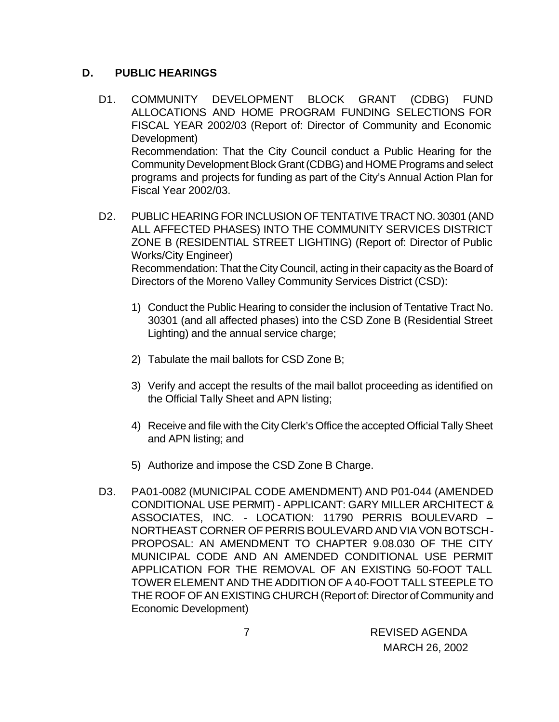# **D. PUBLIC HEARINGS**

- D1. COMMUNITY DEVELOPMENT BLOCK GRANT (CDBG) FUND ALLOCATIONS AND HOME PROGRAM FUNDING SELECTIONS FOR FISCAL YEAR 2002/03 (Report of: Director of Community and Economic Development) Recommendation: That the City Council conduct a Public Hearing for the Community Development Block Grant (CDBG) and HOME Programs and select programs and projects for funding as part of the City's Annual Action Plan for Fiscal Year 2002/03.
- D2. PUBLIC HEARING FOR INCLUSION OF TENTATIVE TRACT NO. 30301 (AND ALL AFFECTED PHASES) INTO THE COMMUNITY SERVICES DISTRICT ZONE B (RESIDENTIAL STREET LIGHTING) (Report of: Director of Public Works/City Engineer) Recommendation: That the City Council, acting in their capacity as the Board of Directors of the Moreno Valley Community Services District (CSD):
	- 1) Conduct the Public Hearing to consider the inclusion of Tentative Tract No. 30301 (and all affected phases) into the CSD Zone B (Residential Street Lighting) and the annual service charge;
	- 2) Tabulate the mail ballots for CSD Zone B;
	- 3) Verify and accept the results of the mail ballot proceeding as identified on the Official Tally Sheet and APN listing;
	- 4) Receive and file with the City Clerk's Office the accepted Official Tally Sheet and APN listing; and
	- 5) Authorize and impose the CSD Zone B Charge.
- D3. PA01-0082 (MUNICIPAL CODE AMENDMENT) AND P01-044 (AMENDED CONDITIONAL USE PERMIT) - APPLICANT: GARY MILLER ARCHITECT & ASSOCIATES, INC. - LOCATION: 11790 PERRIS BOULEVARD – NORTHEAST CORNER OF PERRIS BOULEVARD AND VIA VON BOTSCH - PROPOSAL: AN AMENDMENT TO CHAPTER 9.08.030 OF THE CITY MUNICIPAL CODE AND AN AMENDED CONDITIONAL USE PERMIT APPLICATION FOR THE REMOVAL OF AN EXISTING 50-FOOT TALL TOWER ELEMENT AND THE ADDITION OF A 40-FOOT TALL STEEPLE TO THE ROOF OF AN EXISTING CHURCH (Report of: Director of Community and Economic Development)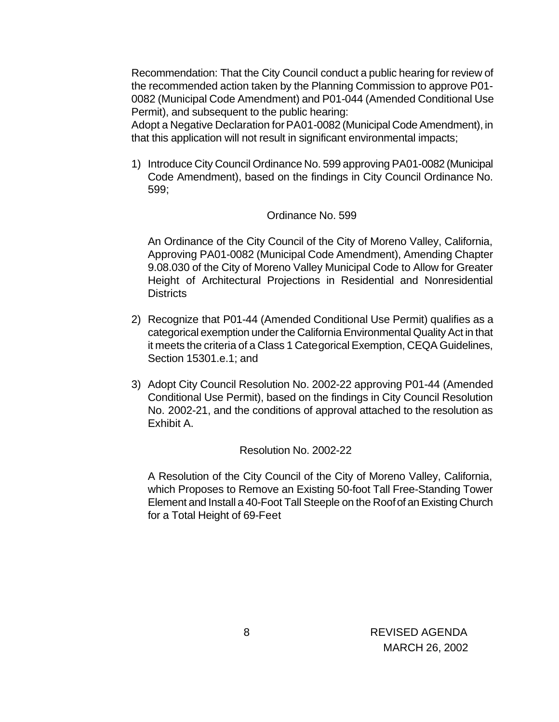Recommendation: That the City Council conduct a public hearing for review of the recommended action taken by the Planning Commission to approve P01- 0082 (Municipal Code Amendment) and P01-044 (Amended Conditional Use Permit), and subsequent to the public hearing:

Adopt a Negative Declaration for PA01-0082 (Municipal Code Amendment), in that this application will not result in significant environmental impacts;

1) Introduce City Council Ordinance No. 599 approving PA01-0082 (Municipal Code Amendment), based on the findings in City Council Ordinance No. 599;

#### Ordinance No. 599

An Ordinance of the City Council of the City of Moreno Valley, California, Approving PA01-0082 (Municipal Code Amendment), Amending Chapter 9.08.030 of the City of Moreno Valley Municipal Code to Allow for Greater Height of Architectural Projections in Residential and Nonresidential **Districts** 

- 2) Recognize that P01-44 (Amended Conditional Use Permit) qualifies as a categorical exemption under the California Environmental Quality Act in that it meets the criteria of a Class 1 Categorical Exemption, CEQA Guidelines, Section 15301.e.1; and
- 3) Adopt City Council Resolution No. 2002-22 approving P01-44 (Amended Conditional Use Permit), based on the findings in City Council Resolution No. 2002-21, and the conditions of approval attached to the resolution as Exhibit A.

#### Resolution No. 2002-22

A Resolution of the City Council of the City of Moreno Valley, California, which Proposes to Remove an Existing 50-foot Tall Free-Standing Tower Element and Install a 40-Foot Tall Steeple on the Roof of an Existing Church for a Total Height of 69-Feet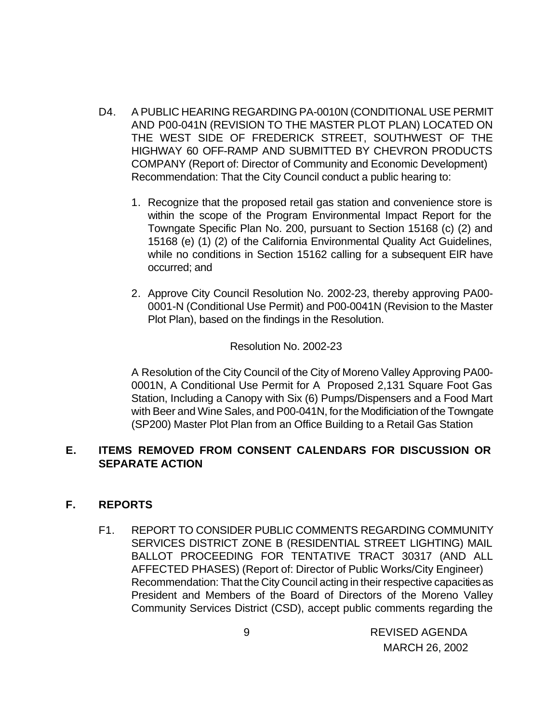- D4. A PUBLIC HEARING REGARDING PA-0010N (CONDITIONAL USE PERMIT AND P00-041N (REVISION TO THE MASTER PLOT PLAN) LOCATED ON THE WEST SIDE OF FREDERICK STREET, SOUTHWEST OF THE HIGHWAY 60 OFF-RAMP AND SUBMITTED BY CHEVRON PRODUCTS COMPANY (Report of: Director of Community and Economic Development) Recommendation: That the City Council conduct a public hearing to:
	- 1. Recognize that the proposed retail gas station and convenience store is within the scope of the Program Environmental Impact Report for the Towngate Specific Plan No. 200, pursuant to Section 15168 (c) (2) and 15168 (e) (1) (2) of the California Environmental Quality Act Guidelines, while no conditions in Section 15162 calling for a subsequent EIR have occurred; and
	- 2. Approve City Council Resolution No. 2002-23, thereby approving PA00- 0001-N (Conditional Use Permit) and P00-0041N (Revision to the Master Plot Plan), based on the findings in the Resolution.

Resolution No. 2002-23

A Resolution of the City Council of the City of Moreno Valley Approving PA00- 0001N, A Conditional Use Permit for A Proposed 2,131 Square Foot Gas Station, Including a Canopy with Six (6) Pumps/Dispensers and a Food Mart with Beer and Wine Sales, and P00-041N, for the Modificiation of the Towngate (SP200) Master Plot Plan from an Office Building to a Retail Gas Station

### **E. ITEMS REMOVED FROM CONSENT CALENDARS FOR DISCUSSION OR SEPARATE ACTION**

### **F. REPORTS**

F1. REPORT TO CONSIDER PUBLIC COMMENTS REGARDING COMMUNITY SERVICES DISTRICT ZONE B (RESIDENTIAL STREET LIGHTING) MAIL BALLOT PROCEEDING FOR TENTATIVE TRACT 30317 (AND ALL AFFECTED PHASES) (Report of: Director of Public Works/City Engineer) Recommendation: That the City Council acting in their respective capacities as President and Members of the Board of Directors of the Moreno Valley Community Services District (CSD), accept public comments regarding the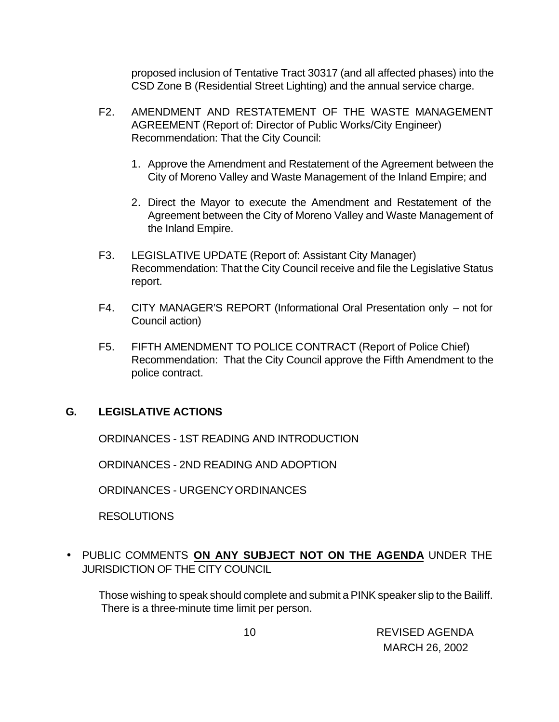proposed inclusion of Tentative Tract 30317 (and all affected phases) into the CSD Zone B (Residential Street Lighting) and the annual service charge.

- F2. AMENDMENT AND RESTATEMENT OF THE WASTE MANAGEMENT AGREEMENT (Report of: Director of Public Works/City Engineer) Recommendation: That the City Council:
	- 1. Approve the Amendment and Restatement of the Agreement between the City of Moreno Valley and Waste Management of the Inland Empire; and
	- 2. Direct the Mayor to execute the Amendment and Restatement of the Agreement between the City of Moreno Valley and Waste Management of the Inland Empire.
- F3. LEGISLATIVE UPDATE (Report of: Assistant City Manager) Recommendation: That the City Council receive and file the Legislative Status report.
- F4. CITY MANAGER'S REPORT (Informational Oral Presentation only not for Council action)
- F5. FIFTH AMENDMENT TO POLICE CONTRACT (Report of Police Chief) Recommendation: That the City Council approve the Fifth Amendment to the police contract.

### **G. LEGISLATIVE ACTIONS**

ORDINANCES - 1ST READING AND INTRODUCTION

ORDINANCES - 2ND READING AND ADOPTION

ORDINANCES - URGENCY ORDINANCES

RESOLUTIONS

• PUBLIC COMMENTS **ON ANY SUBJECT NOT ON THE AGENDA** UNDER THE JURISDICTION OF THE CITY COUNCIL

Those wishing to speak should complete and submit a PINK speaker slip to the Bailiff. There is a three-minute time limit per person.